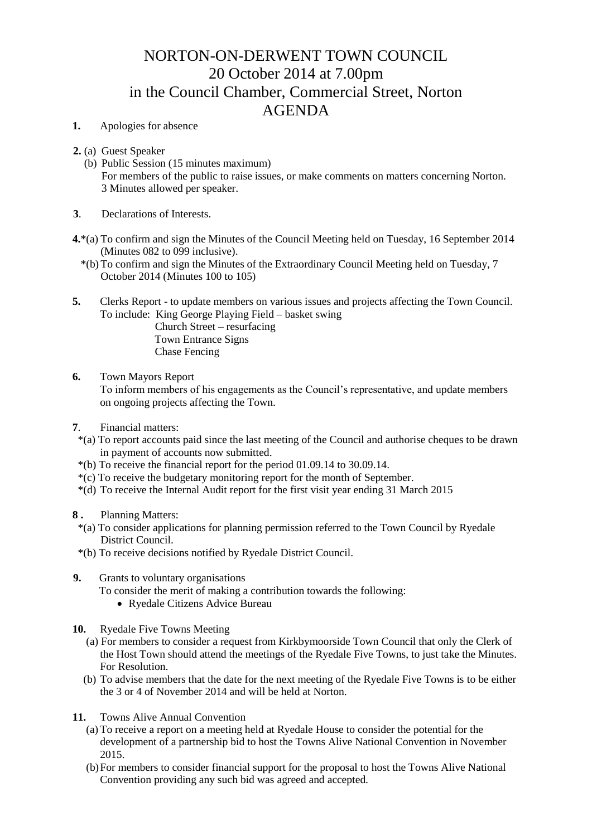# NORTON-ON-DERWENT TOWN COUNCIL 20 October 2014 at 7.00pm in the Council Chamber, Commercial Street, Norton AGENDA

# **1.** Apologies for absence

- **2.** (a) Guest Speaker
	- (b) Public Session (15 minutes maximum) For members of the public to raise issues, or make comments on matters concerning Norton. 3 Minutes allowed per speaker.
- **3**. Declarations of Interests.
- **4.**\*(a) To confirm and sign the Minutes of the Council Meeting held on Tuesday, 16 September 2014 (Minutes 082 to 099 inclusive).
	- \*(b) To confirm and sign the Minutes of the Extraordinary Council Meeting held on Tuesday, 7 October 2014 (Minutes 100 to 105)
- **5.** Clerks Report to update members on various issues and projects affecting the Town Council. To include: King George Playing Field – basket swing Church Street – resurfacing
	- Town Entrance Signs Chase Fencing

## **6.** Town Mayors Report

 To inform members of his engagements as the Council's representative, and update members on ongoing projects affecting the Town.

- **7**. Financial matters:
- \*(a) To report accounts paid since the last meeting of the Council and authorise cheques to be drawn in payment of accounts now submitted.
- \*(b) To receive the financial report for the period 01.09.14 to 30.09.14.
- \*(c) To receive the budgetary monitoring report for the month of September.
- \*(d) To receive the Internal Audit report for the first visit year ending 31 March 2015

### **8 .** Planning Matters:

- \*(a) To consider applications for planning permission referred to the Town Council by Ryedale District Council.
- \*(b) To receive decisions notified by Ryedale District Council.

#### **9.** Grants to voluntary organisations

- To consider the merit of making a contribution towards the following:
	- Ryedale Citizens Advice Bureau
- **10.** Ryedale Five Towns Meeting
	- (a) For members to consider a request from Kirkbymoorside Town Council that only the Clerk of the Host Town should attend the meetings of the Ryedale Five Towns, to just take the Minutes. For Resolution.
	- (b) To advise members that the date for the next meeting of the Ryedale Five Towns is to be either the 3 or 4 of November 2014 and will be held at Norton.
- **11.** Towns Alive Annual Convention
	- (a) To receive a report on a meeting held at Ryedale House to consider the potential for the development of a partnership bid to host the Towns Alive National Convention in November 2015.
	- (b)For members to consider financial support for the proposal to host the Towns Alive National Convention providing any such bid was agreed and accepted.